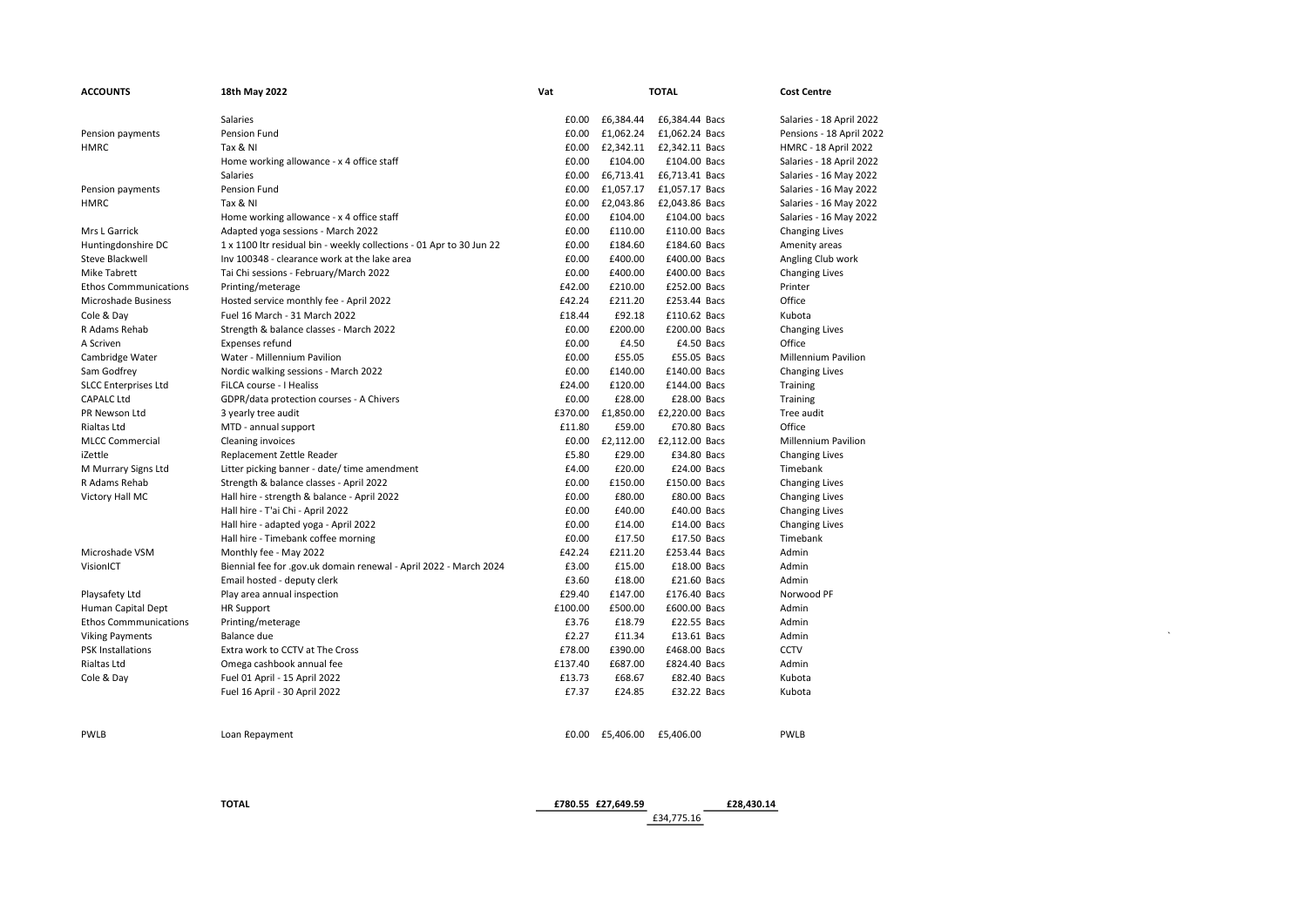| <b>ACCOUNTS</b>              | 18th May 2022                                                        | Vat     |                 | <b>TOTAL</b>                   | <b>Cost Centre</b>              |
|------------------------------|----------------------------------------------------------------------|---------|-----------------|--------------------------------|---------------------------------|
|                              | Salaries                                                             | £0.00   | £6,384.44       | £6,384.44 Bacs                 | Salaries - 18 April 2022        |
| Pension payments             | Pension Fund                                                         | £0.00   | £1,062.24       | £1,062.24 Bacs                 | Pensions - 18 April 2022        |
| HMRC                         | Tax & NI                                                             | £0.00   |                 | £2,342.11    £2,342.11    Bacs | <b>HMRC - 18 April 2022</b>     |
|                              | Home working allowance - x 4 office staff                            | £0.00   | £104.00         | £104.00 Bacs                   | Salaries - 18 April 2022        |
|                              | Salaries                                                             | £0.00   | £6,713.41       | £6,713.41 Bacs                 | Salaries - 16 May 2022          |
| Pension payments             | Pension Fund                                                         | £0.00   | £1,057.17       | £1,057.17 Bacs                 | Salaries - 16 May 2022          |
| HMRC                         | Tax & NI                                                             | £0.00   | £2,043.86       | £2,043.86 Bacs                 | Salaries - 16 May 2022          |
|                              | Home working allowance - x 4 office staff                            | £0.00   | £104.00         | £104.00 bacs                   | Salaries - 16 May 2022          |
| Mrs L Garrick                | Adapted yoga sessions - March 2022                                   | £0.00   | £110.00         | £110.00 Bacs                   | <b>Changing Lives</b>           |
| Huntingdonshire DC           | 1 x 1100 ltr residual bin - weekly collections - 01 Apr to 30 Jun 22 | £0.00   | £184.60         | £184.60 Bacs                   | Amenity areas                   |
| Steve Blackwell              | Inv 100348 - clearance work at the lake area                         | £0.00   | £400.00         | £400.00 Bacs                   | Angling Club work               |
| Mike Tabrett                 | Tai Chi sessions - February/March 2022                               | £0.00   | £400.00         | £400.00 Bacs                   | <b>Changing Lives</b>           |
| <b>Ethos Commmunications</b> | Printing/meterage                                                    | £42.00  | £210.00         | £252.00 Bacs                   | Printer                         |
| Microshade Business          | Hosted service monthly fee - April 2022                              | £42.24  | £211.20         | £253.44 Bacs                   | Office                          |
| Cole & Day                   | Fuel 16 March - 31 March 2022                                        | £18.44  | £92.18          | £110.62 Bacs                   | Kubota                          |
| R Adams Rehab                | Strength & balance classes - March 2022                              | £0.00   | £200.00         | £200.00 Bacs                   |                                 |
| A Scriven                    | Expenses refund                                                      | £0.00   | £4.50           | £4.50 Bacs                     | <b>Changing Lives</b><br>Office |
|                              |                                                                      | £0.00   | £55.05          | £55.05 Bacs                    | <b>Millennium Pavilion</b>      |
| Cambridge Water              | Water - Millennium Pavilion                                          | £0.00   | £140.00         |                                |                                 |
| Sam Godfrey                  | Nordic walking sessions - March 2022                                 |         |                 | £140.00 Bacs                   | <b>Changing Lives</b>           |
| <b>SLCC Enterprises Ltd</b>  | FiLCA course - I Healiss                                             | £24.00  | £120.00         | £144.00 Bacs                   | Training                        |
| <b>CAPALC Ltd</b>            | GDPR/data protection courses - A Chivers                             | £0.00   | £28.00          | £28.00 Bacs                    | Training                        |
| PR Newson Ltd                | 3 yearly tree audit                                                  | £370.00 | £1,850.00       | £2,220.00 Bacs                 | Tree audit                      |
| Rialtas Ltd                  | MTD - annual support                                                 | £11.80  | £59.00          | £70.80 Bacs                    | Office                          |
| <b>MLCC Commercial</b>       | <b>Cleaning invoices</b>                                             | £0.00   | £2,112.00       | £2,112.00 Bacs                 | <b>Millennium Pavilion</b>      |
| iZettle                      | Replacement Zettle Reader                                            | £5.80   | £29.00          | £34.80 Bacs                    | <b>Changing Lives</b>           |
| M Murrary Signs Ltd          | Litter picking banner - date/ time amendment                         | £4.00   | £20.00          | £24.00 Bacs                    | Timebank                        |
| R Adams Rehab                | Strength & balance classes - April 2022                              | £0.00   | £150.00         | £150.00 Bacs                   | <b>Changing Lives</b>           |
| Victory Hall MC              | Hall hire - strength & balance - April 2022                          | £0.00   | £80.00          | £80.00 Bacs                    | <b>Changing Lives</b>           |
|                              | Hall hire - T'ai Chi - April 2022                                    | £0.00   | £40.00          | £40.00 Bacs                    | <b>Changing Lives</b>           |
|                              | Hall hire - adapted yoga - April 2022                                | £0.00   | £14.00          | £14.00 Bacs                    | <b>Changing Lives</b>           |
|                              | Hall hire - Timebank coffee morning                                  | £0.00   | £17.50          | £17.50 Bacs                    | Timebank                        |
| Microshade VSM               | Monthly fee - May 2022                                               | £42.24  | £211.20         | £253.44 Bacs                   | Admin                           |
| VisionICT                    | Biennial fee for .gov.uk domain renewal - April 2022 - March 2024    | £3.00   | £15.00          | £18.00 Bacs                    | Admin                           |
|                              | Email hosted - deputy clerk                                          | £3.60   | £18.00          | £21.60 Bacs                    | Admin                           |
| Playsafety Ltd               | Play area annual inspection                                          | £29.40  | £147.00         | £176.40 Bacs                   | Norwood PF                      |
| Human Capital Dept           | <b>HR Support</b>                                                    | £100.00 | £500.00         | £600.00 Bacs                   | Admin                           |
| <b>Ethos Commmunications</b> | Printing/meterage                                                    | £3.76   | £18.79          | £22.55 Bacs                    | Admin                           |
| <b>Viking Payments</b>       | Balance due                                                          | £2.27   | £11.34          | £13.61 Bacs                    | Admin                           |
| <b>PSK Installations</b>     | Extra work to CCTV at The Cross                                      | £78.00  | £390.00         | £468.00 Bacs                   | <b>CCTV</b>                     |
| Rialtas Ltd                  | Omega cashbook annual fee                                            | £137.40 | £687.00         | £824.40 Bacs                   | Admin                           |
| Cole & Day                   | Fuel 01 April - 15 April 2022                                        | £13.73  | £68.67          | £82.40 Bacs                    | Kubota                          |
|                              | Fuel 16 April - 30 April 2022                                        | £7.37   | £24.85          | £32.22 Bacs                    | Kubota                          |
|                              |                                                                      |         |                 |                                |                                 |
|                              |                                                                      |         |                 |                                |                                 |
| <b>PWLB</b>                  | Loan Repayment                                                       |         | £0.00 £5,406.00 | £5,406.00                      | PWLB                            |

TOTAL £780.55 £27,649.59 £28,430.14

£34,775.16